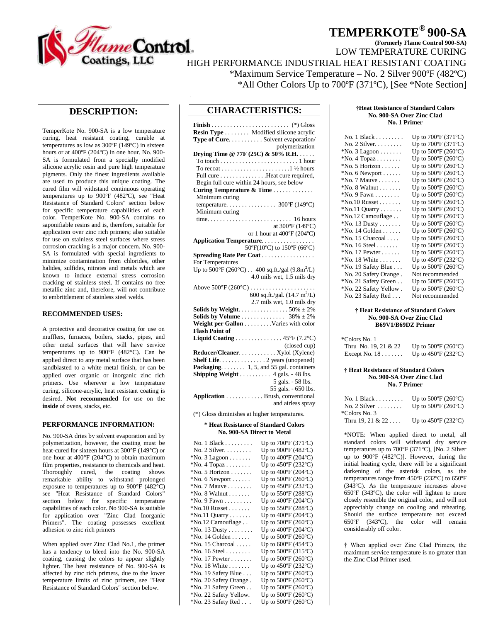

# **TEMPERKOTE® 900-SA**

**(Formerly Flame Control 900-SA)** 

LOW TEMPERATURE CURING

HIGH PERFORMANCE INDUSTRIAL HEAT RESISTANT COATING \*Maximum Service Temperature – No. 2 Silver 900ºF (482ºC)

\*All Other Colors Up to 700ºF (371ºC), [See \*Note Section]

# **DESCRIPTION:**

TemperKote No. 900-SA is a low temperature curing, heat resistant coating, curable at temperatures as low as 300ºF (149ºC) in sixteen hours or at 400ºF (204ºC) in one hour. No. 900- SA is formulated from a specially modified silicone acrylic resin and pure high temperature pigments. Only the finest ingredients available are used to produce this unique coating. The cured film will withstand continuous operating temperatures up to 900ºF (482ºC), see "Heat Resistance of Standard Colors" section below for specific temperature capabilities of each color. TemperKote No. 900-SA contains no saponifiable resins and is, therefore, suitable for application over zinc rich primers; also suitable for use on stainless steel surfaces where stress corrosion cracking is a major concern. No. 900- SA is formulated with special ingredients to minimize contamination from chlorides, other halides, sulfides, nitrates and metals which are known to induce external stress corrosion cracking of stainless steel. If contains no free metallic zinc and, therefore, will not contribute to embrittlement of stainless steel welds.

## **RECOMMENDED USES:**

A protective and decorative coating for use on mufflers, furnaces, boilers, stacks, pipes, and other metal surfaces that will have service temperatures up to 900°F (482°C). Can be applied direct to any metal surface that has been sandblasted to a white metal finish, or can be applied over organic or inorganic zinc rich primers. Use wherever a low temperature curing, silicone-acrylic, heat resistant coating is desired. **Not recommended** for use on the **inside** of ovens, stacks, etc.

### **PERFORMANCE INFORMATION:**

No. 900-SA dries by solvent evaporation and by polymerization, however, the coating must be heat-cured for sixteen hours at 300°F (149°C) or one hour at 400°F (204°C) to obtain maximum film properties, resistance to chemicals and heat. Thoroughly cured, the coating shows remarkable ability to withstand prolonged exposure to temperatures up to 900°F (482°C) see "Heat Resistance of Standard Colors" section below for specific temperature capabilities of each color. No 900-SA is suitable for application over "Zinc Clad Inorganic Primers". The coating possesses excellent adhesion to zinc rich primers

When applied over Zinc Clad No.1, the primer has a tendency to bleed into the No. 900-SA coating, causing the colors to appear slightly lighter. The heat resistance of No. 900-SA is affected by zinc rich primers, due to the lower temperature limits of zinc primers, see "Heat Resistance of Standard Colors" section below.

# **CHARACTERISTICS:**

| Resin Type Modified silicone acrylic                              |                                               |
|-------------------------------------------------------------------|-----------------------------------------------|
| Type of Cure. Solvent evaporation/                                |                                               |
|                                                                   | polymerization                                |
| Drying Time @ 77F (25C) & 50% R.H.                                |                                               |
| To touch $\dots \dots \dots \dots \dots \dots \dots \dots 1$ hour |                                               |
|                                                                   |                                               |
| Full cure Heat cure required,                                     |                                               |
| Begin full cure within 24 hours, see below                        |                                               |
| Curing Temperature & Time                                         |                                               |
| Minimum curing                                                    |                                               |
|                                                                   |                                               |
| Minimum curing                                                    |                                               |
|                                                                   |                                               |
|                                                                   | at 300°F (149°C)                              |
|                                                                   | or 1 hour at 400°F (204°C)                    |
| Application Temperature                                           |                                               |
|                                                                   | 50°F(10°C) to 150°F (66°C)                    |
| <b>Spreading Rate Per Coat</b>                                    |                                               |
| For Temperatures                                                  |                                               |
| Up to 500°F (260°C) 400 sq.ft./gal (9.8m <sup>2</sup> /L)         |                                               |
|                                                                   | 4.0 mils wet, 1.5 mils dry                    |
|                                                                   |                                               |
|                                                                   | 600 sq.ft./gal. $(14.7 \text{ m}^2/\text{L})$ |
|                                                                   | 2.7 mils wet, 1.0 mils dry                    |
|                                                                   |                                               |
|                                                                   |                                               |
| Weight per Gallon Varies with color                               |                                               |
| <b>Flash Point of</b>                                             |                                               |
| Liquid Coating  45°F (7.2°C)                                      |                                               |
|                                                                   | (closed cup)                                  |
| Reducer/Cleaner. Xylol (Xylene)                                   |                                               |
| Shelf Life. 2 years (unopened)                                    |                                               |
| Packaging. 1, 5, and 55 gal. containers                           |                                               |
| Shipping Weight 4 gals. - 48 lbs.                                 |                                               |
|                                                                   | 5 gals. - 58 lbs.                             |
|                                                                   | 55 gals. - 650 lbs.                           |
| Application Brush, conventional                                   |                                               |
|                                                                   | and airless spray                             |
| (*) Gloss diminishes at higher temperatures.                      |                                               |

#### **\* Heat Resistance of Standard Colors No. 900-SA Direct to Metal**

| No. $1$ Black                  | Up to $700^{\circ}$ F (371 $^{\circ}$ C) |
|--------------------------------|------------------------------------------|
| No. $2$ Silver.                | Up to 900°F (482°C)                      |
| $*$ No. 3 Lagoon               | Up to $400^{\circ}$ F (204 $^{\circ}$ C) |
| $*$ No. 4 Topaz                | Up to $450^{\circ}$ F (232 $^{\circ}$ C) |
| $*$ No. 5 Horizon              | Up to $400^{\circ}$ F (204 $^{\circ}$ C) |
| $*$ No. 6 Newport $\dots$ .    | Up to $500^{\circ}$ F (260 $^{\circ}$ C) |
| $*$ No. 7 Mauve                | Up to 450°F (232°C)                      |
| $*$ No. 8 Walnut $\dots \dots$ | Up to 550°F (288°C)                      |
| $*$ No. 9 Fawn                 | Up to $400^{\circ}$ F (204 $^{\circ}$ C) |
| $*$ No.10 Russet               | Up to 550°F (288°C)                      |
| $*$ No.11 Quarry               | Up to $400^{\circ}$ F (204 $^{\circ}$ C) |
|                                |                                          |
| *No.12 Camouflage              | Up to $500^{\circ}$ F (260 $^{\circ}$ C) |
| $*$ No. 13 Dusty               | Up to 400°F (204°C)                      |
| $*$ No. 14 Golden $\dots$ .    | Up to $500^{\circ}$ F (260 $^{\circ}$ C) |
| *No. 15 Charcoal               | Up to $600^{\circ}$ F (454 $^{\circ}$ C) |
| $*$ No. 16 Steel               | Up to 500°F (315°C)                      |
| $*$ No. 17 Pewter              | Up to $500^{\circ}$ F (260 $^{\circ}$ C) |
| $*$ No. 18 White               | Up to 450°F (232°C)                      |
| *No. 19 Safety Blue            | Up to $500^{\circ}$ F (260 $^{\circ}$ C) |
| *No. 20 Safety Orange.         | Up to $500^{\circ}$ F (260 $^{\circ}$ C) |
| *No. 21 Safety Green           | Up to $500^{\circ}$ F (260 $^{\circ}$ C) |
| *No. 22 Safety Yellow.         | Up to 500°F (260°C)                      |
|                                |                                          |
| *No. 23 Safety Red             | Up to $500^{\circ}$ F (260 $^{\circ}$ C) |

#### **†Heat Resistance of Standard Colors No. 900-SA Over Zinc Clad No. 1 Primer**

| No. $1$ Black                        | Up to 700°F (371°C)                      |
|--------------------------------------|------------------------------------------|
| No. 2 Silver.                        | Up to $700^{\circ}$ F (371 $^{\circ}$ C) |
| $^*$ No. 3 Lagoon                    | Up to $500^{\circ}$ F (260 $^{\circ}$ C) |
| $^*$ No. 4 Topaz $\dots\dots\dots$   | Up to $500^{\circ}$ F (260 $^{\circ}$ C) |
| $^*$ No. 5 Horizon                   | Up to $500^{\circ}$ F (260 $^{\circ}$ C) |
| $*$ No. 6 Newport $\dots$ .          | Up to 500°F (260°C)                      |
| $*$ No. 7 Mauve                      | Up to $500^{\circ}$ F (260°C)            |
| $^*$ No. 8 Walnut                    | Up to $500^{\circ}$ F (260 $^{\circ}$ C) |
| $^*$ No. 9 Fawn $\dots\dots\dots$    | Up to $500^{\circ}$ F (260 $^{\circ}$ C) |
| $^*$ No. $10$ Russet $\ldots \ldots$ | Up to $500^{\circ}$ F (260 $^{\circ}$ C) |
| $N$ o.11 Quarry                      | Up to $500^{\circ}$ F (260 $^{\circ}$ C) |
| *No.12 Camouflage                    | Up to 500°F (260°C)                      |
| $^*$ No. 13 Dusty                    | Up to $500^{\circ}$ F (260 $^{\circ}$ C) |
| $*$ No. 14 Golden $\dots$ .          | Up to $500^{\circ}$ F (260 $^{\circ}$ C) |
| *No. 15 Charcoal                     | Up to $500^{\circ}$ F (260 $^{\circ}$ C) |
| $*$ No. 16 Steel                     | Up to $500^{\circ}$ F (260 $^{\circ}$ C) |
| $*$ No. 17 Pewter $\dots$ .          | Up to 500°F (260°C)                      |
| $^*$ No. 18 White $\ldots \ldots$    | Up to $450^{\circ}$ F (232 $^{\circ}$ C) |
| *No. 19 Safety Blue                  | Up to $500^{\circ}$ F (260 $^{\circ}$ C) |
| No. 20 Safety Orange.                | Not recommended                          |
| *No. 21 Safety Green                 | Up to $500^{\circ}$ F (260 $^{\circ}$ C) |
| *No. 22 Safety Yellow .              | Up to $500^{\circ}$ F (260 $^{\circ}$ C) |
| No. 23 Safety Red $\dots$            | Not recommended                          |

#### **† Heat Resistance of Standard Colors No. 900-SA Over Zinc Clad B69V1/B69DZ Primer**

| *Colors No. 1                 |                                          |
|-------------------------------|------------------------------------------|
| Thru No. $19, 21 & 22$        | Up to $500^{\circ}$ F (260 $^{\circ}$ C) |
| Except No. $18 \ldots \ldots$ | Up to $450^{\circ}$ F (232 $^{\circ}$ C) |

#### **† Heat Resistance of Standard Colors No. 900-SA Over Zinc Clad No. 7 Primer**

| No. $1$ Black                | Up to $500^{\circ}$ F (260 $^{\circ}$ C) |
|------------------------------|------------------------------------------|
| No. $2$ Silver $\dots \dots$ | Up to $500^{\circ}$ F (260 $^{\circ}$ C) |
| *Colors No. 3                |                                          |
| Thru 19, 21 & 22             | Up to $450^{\circ}$ F (232 $^{\circ}$ C) |

\*NOTE: When applied direct to metal, all standard colors will withstand dry service temperatures up to 700°F (371°C), [No. 2 Silver up to 900°F (482°C)]. However, during the initial heating cycle, there will be a significant darkening of the asterisk colors, as the temperatures range from 450ºF (232ºC) to 650ºF (343ºC). As the temperature increases above 650ºF (343ºC), the color will lighten to more closely resemble the original color, and will not appreciably change on cooling and reheating. Should the surface temperature not exceed 650ºF (343ºC), the color will remain considerably off color.

† When applied over Zinc Clad Primers, the maximum service temperature is no greater than the Zinc Clad Primer used.